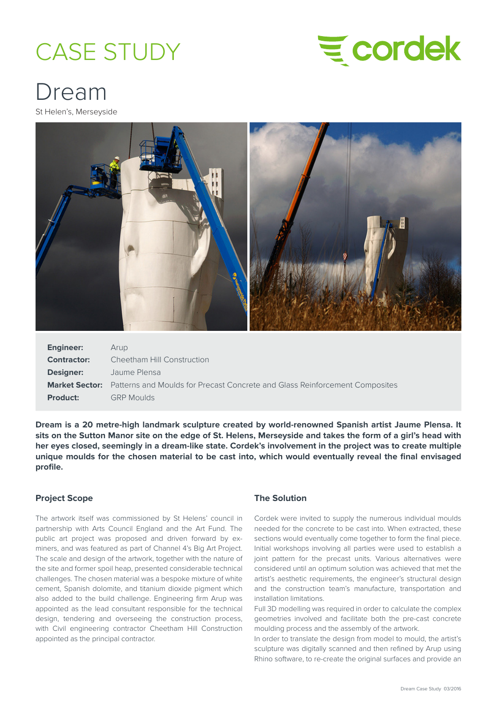# CASE STUDY



## Dream

St Helen's, Merseyside



| <b>Engineer:</b> | Arup                                                                                              |
|------------------|---------------------------------------------------------------------------------------------------|
| Contractor:      | Cheetham Hill Construction                                                                        |
| <b>Designer:</b> | Jaume Plensa                                                                                      |
|                  | <b>Market Sector:</b> Patterns and Moulds for Precast Concrete and Glass Reinforcement Composites |
| <b>Product:</b>  | <b>GRP Moulds</b>                                                                                 |

**Dream is a 20 metre-high landmark sculpture created by world-renowned Spanish artist Jaume Plensa. It sits on the Sutton Manor site on the edge of St. Helens, Merseyside and takes the form of a girl's head with her eyes closed, seemingly in a dream-like state. Cordek's involvement in the project was to create multiple unique moulds for the chosen material to be cast into, which would eventually reveal the final envisaged profile.**

### **Project Scope**

The artwork itself was commissioned by St Helens' council in partnership with Arts Council England and the Art Fund. The public art project was proposed and driven forward by exminers, and was featured as part of Channel 4's Big Art Project. The scale and design of the artwork, together with the nature of the site and former spoil heap, presented considerable technical challenges. The chosen material was a bespoke mixture of white cement, Spanish dolomite, and titanium dioxide pigment which also added to the build challenge. Engineering firm Arup was appointed as the lead consultant responsible for the technical design, tendering and overseeing the construction process, with Civil engineering contractor Cheetham Hill Construction appointed as the principal contractor.

### **The Solution**

Cordek were invited to supply the numerous individual moulds needed for the concrete to be cast into. When extracted, these sections would eventually come together to form the final piece. Initial workshops involving all parties were used to establish a joint pattern for the precast units. Various alternatives were considered until an optimum solution was achieved that met the artist's aesthetic requirements, the engineer's structural design and the construction team's manufacture, transportation and installation limitations.

Full 3D modelling was required in order to calculate the complex geometries involved and facilitate both the pre-cast concrete moulding process and the assembly of the artwork.

In order to translate the design from model to mould, the artist's sculpture was digitally scanned and then refined by Arup using Rhino software, to re-create the original surfaces and provide an